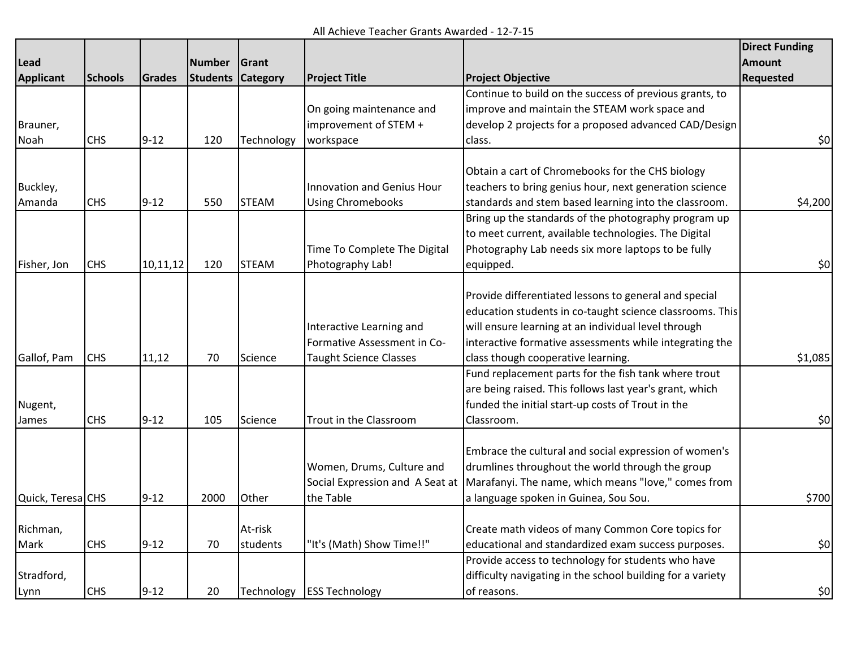All Achieve Teacher Grants Awarded - 12-7-15

|                   |                |          |               |              |                                   |                                                            | <b>Direct Funding</b> |
|-------------------|----------------|----------|---------------|--------------|-----------------------------------|------------------------------------------------------------|-----------------------|
| Lead              |                |          | <b>Number</b> | Grant        |                                   |                                                            | <b>Amount</b>         |
| <b>Applicant</b>  | <b>Schools</b> | Grades   | Students      | Category     | <b>Project Title</b>              | <b>Project Objective</b>                                   | <b>Requested</b>      |
|                   |                |          |               |              |                                   | Continue to build on the success of previous grants, to    |                       |
|                   |                |          |               |              | On going maintenance and          | improve and maintain the STEAM work space and              |                       |
| Brauner,          |                |          |               |              | improvement of STEM +             | develop 2 projects for a proposed advanced CAD/Design      |                       |
| Noah              | <b>CHS</b>     | $9 - 12$ | 120           | Technology   | workspace                         | class.                                                     | 50                    |
|                   |                |          |               |              |                                   |                                                            |                       |
|                   |                |          |               |              |                                   | Obtain a cart of Chromebooks for the CHS biology           |                       |
| Buckley,          |                |          |               |              | <b>Innovation and Genius Hour</b> | teachers to bring genius hour, next generation science     |                       |
| Amanda            | <b>CHS</b>     | $9 - 12$ | 550           | <b>STEAM</b> | <b>Using Chromebooks</b>          | standards and stem based learning into the classroom.      | \$4,200               |
|                   |                |          |               |              |                                   | Bring up the standards of the photography program up       |                       |
|                   |                |          |               |              |                                   | to meet current, available technologies. The Digital       |                       |
|                   |                |          |               |              | Time To Complete The Digital      | Photography Lab needs six more laptops to be fully         |                       |
| Fisher, Jon       | <b>CHS</b>     | 10,11,12 | 120           | <b>STEAM</b> | Photography Lab!                  | equipped.                                                  | 50                    |
|                   |                |          |               |              |                                   |                                                            |                       |
|                   |                |          |               |              |                                   | Provide differentiated lessons to general and special      |                       |
|                   |                |          |               |              |                                   | education students in co-taught science classrooms. This   |                       |
|                   |                |          |               |              | Interactive Learning and          | will ensure learning at an individual level through        |                       |
|                   |                |          |               |              | Formative Assessment in Co-       | interactive formative assessments while integrating the    |                       |
| Gallof, Pam       | <b>CHS</b>     | 11,12    | 70            | Science      | <b>Taught Science Classes</b>     | class though cooperative learning.                         | \$1,085               |
|                   |                |          |               |              |                                   | Fund replacement parts for the fish tank where trout       |                       |
|                   |                |          |               |              |                                   | are being raised. This follows last year's grant, which    |                       |
| Nugent,           |                |          |               |              |                                   | funded the initial start-up costs of Trout in the          |                       |
| James             | <b>CHS</b>     | $9 - 12$ | 105           | Science      | Trout in the Classroom            | Classroom.                                                 | 50                    |
|                   |                |          |               |              |                                   |                                                            |                       |
|                   |                |          |               |              |                                   | Embrace the cultural and social expression of women's      |                       |
|                   |                |          |               |              | Women, Drums, Culture and         | drumlines throughout the world through the group           |                       |
|                   |                |          |               |              | Social Expression and A Seat at   | Marafanyi. The name, which means "love," comes from        |                       |
| Quick, Teresa CHS |                | $9 - 12$ | 2000          | Other        | the Table                         | a language spoken in Guinea, Sou Sou.                      | \$700                 |
|                   |                |          |               |              |                                   |                                                            |                       |
| Richman,          |                |          |               | At-risk      |                                   | Create math videos of many Common Core topics for          |                       |
| Mark              | <b>CHS</b>     | $9 - 12$ | 70            | students     | "It's (Math) Show Time!!"         | educational and standardized exam success purposes.        | 50                    |
|                   |                |          |               |              |                                   | Provide access to technology for students who have         |                       |
| Stradford,        |                |          |               |              |                                   | difficulty navigating in the school building for a variety |                       |
| Lynn              | <b>CHS</b>     | $9 - 12$ | 20            |              | Technology ESS Technology         | of reasons.                                                | \$0                   |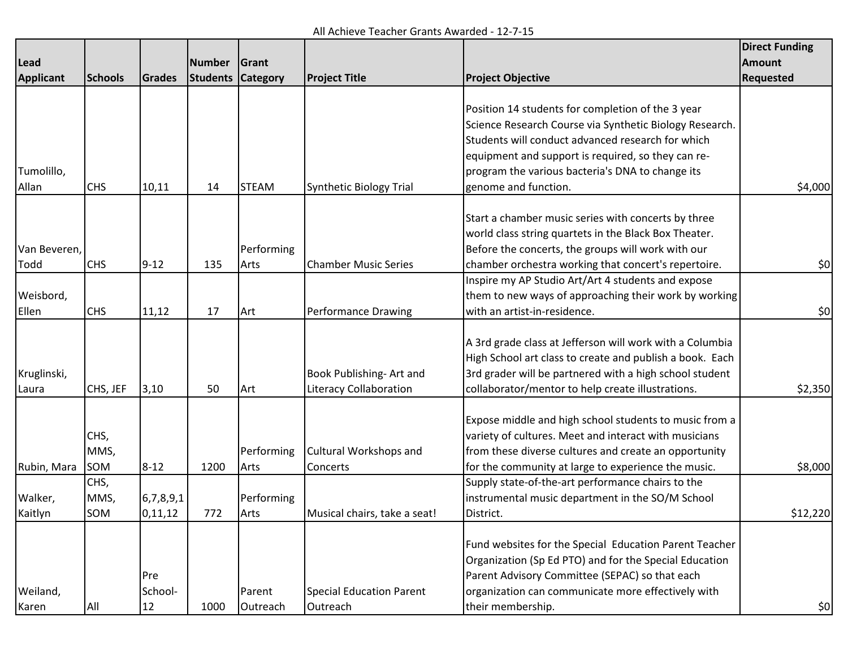All Achieve Teacher Grants Awarded - 12-7-15

|                  |                |           |               |                 |                                 |                                                          | <b>Direct Funding</b> |
|------------------|----------------|-----------|---------------|-----------------|---------------------------------|----------------------------------------------------------|-----------------------|
| Lead             |                |           | <b>Number</b> | Grant           |                                 |                                                          | <b>Amount</b>         |
| <b>Applicant</b> | <b>Schools</b> | Grades    | Students      | <b>Category</b> | <b>Project Title</b>            | <b>Project Objective</b>                                 | <b>Requested</b>      |
|                  |                |           |               |                 |                                 |                                                          |                       |
|                  |                |           |               |                 |                                 | Position 14 students for completion of the 3 year        |                       |
|                  |                |           |               |                 |                                 | Science Research Course via Synthetic Biology Research.  |                       |
|                  |                |           |               |                 |                                 | Students will conduct advanced research for which        |                       |
|                  |                |           |               |                 |                                 | equipment and support is required, so they can re-       |                       |
| Tumolillo,       |                |           |               |                 |                                 | program the various bacteria's DNA to change its         |                       |
| Allan            | <b>CHS</b>     | 10,11     | 14            | <b>STEAM</b>    | <b>Synthetic Biology Trial</b>  | genome and function.                                     | \$4,000               |
|                  |                |           |               |                 |                                 |                                                          |                       |
|                  |                |           |               |                 |                                 | Start a chamber music series with concerts by three      |                       |
|                  |                |           |               |                 |                                 | world class string quartets in the Black Box Theater.    |                       |
| Van Beveren,     |                |           |               | Performing      |                                 | Before the concerts, the groups will work with our       |                       |
| Todd             | <b>CHS</b>     | $9 - 12$  | 135           | Arts            | <b>Chamber Music Series</b>     | chamber orchestra working that concert's repertoire.     | \$0]                  |
|                  |                |           |               |                 |                                 | Inspire my AP Studio Art/Art 4 students and expose       |                       |
| Weisbord,        |                |           |               |                 |                                 | them to new ways of approaching their work by working    |                       |
| Ellen            | <b>CHS</b>     | 11,12     | 17            | Art             | <b>Performance Drawing</b>      | with an artist-in-residence.                             | \$0]                  |
|                  |                |           |               |                 |                                 |                                                          |                       |
|                  |                |           |               |                 |                                 | A 3rd grade class at Jefferson will work with a Columbia |                       |
|                  |                |           |               |                 |                                 | High School art class to create and publish a book. Each |                       |
| Kruglinski,      |                |           |               |                 | Book Publishing- Art and        | 3rd grader will be partnered with a high school student  |                       |
| Laura            | CHS, JEF       | 3,10      | 50            | Art             | <b>Literacy Collaboration</b>   | collaborator/mentor to help create illustrations.        | \$2,350               |
|                  |                |           |               |                 |                                 | Expose middle and high school students to music from a   |                       |
|                  | CHS,           |           |               |                 |                                 | variety of cultures. Meet and interact with musicians    |                       |
|                  | MMS,           |           |               | Performing      | Cultural Workshops and          | from these diverse cultures and create an opportunity    |                       |
| Rubin, Mara      | SOM            | $8 - 12$  | 1200          | Arts            | <b>Concerts</b>                 | for the community at large to experience the music.      | \$8,000               |
|                  | CHS,           |           |               |                 |                                 | Supply state-of-the-art performance chairs to the        |                       |
| Walker,          | MMS,           | 6,7,8,9,1 |               | Performing      |                                 | instrumental music department in the SO/M School         |                       |
| Kaitlyn          | SOM            | 0,11,12   | 772           | Arts            | Musical chairs, take a seat!    | District.                                                | \$12,220              |
|                  |                |           |               |                 |                                 |                                                          |                       |
|                  |                |           |               |                 |                                 | Fund websites for the Special Education Parent Teacher   |                       |
|                  |                |           |               |                 |                                 | Organization (Sp Ed PTO) and for the Special Education   |                       |
|                  |                | Pre       |               |                 |                                 | Parent Advisory Committee (SEPAC) so that each           |                       |
| Weiland,         |                | School-   |               | Parent          | <b>Special Education Parent</b> | organization can communicate more effectively with       |                       |
| Karen            | All            | 12        | 1000          | Outreach        | Outreach                        | their membership.                                        | \$0]                  |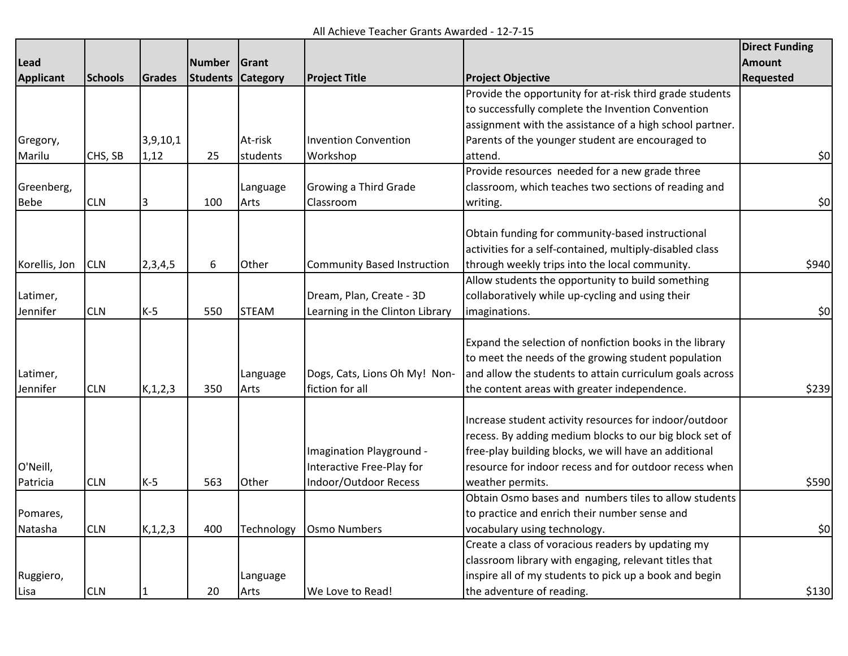All Achieve Teacher Grants Awarded - 12-7-15

|                    |                |            |               |                 |                                    |                                                          | <b>Direct Funding</b> |
|--------------------|----------------|------------|---------------|-----------------|------------------------------------|----------------------------------------------------------|-----------------------|
| Lead               |                |            | <b>Number</b> | Grant           |                                    |                                                          | <b>Amount</b>         |
| <b>Applicant</b>   | <b>Schools</b> | Grades     | Students      | <b>Category</b> | <b>Project Title</b>               | <b>Project Objective</b>                                 | <b>Requested</b>      |
|                    |                |            |               |                 |                                    | Provide the opportunity for at-risk third grade students |                       |
|                    |                |            |               |                 |                                    | to successfully complete the Invention Convention        |                       |
|                    |                |            |               |                 |                                    | assignment with the assistance of a high school partner. |                       |
| Gregory,           |                | 3,9,10,1   |               | At-risk         | <b>Invention Convention</b>        | Parents of the younger student are encouraged to         |                       |
| Marilu             | CHS, SB        | 1,12       | 25            | students        | Workshop                           | attend.                                                  | \$0                   |
|                    |                |            |               |                 |                                    | Provide resources needed for a new grade three           |                       |
| Greenberg,         |                |            |               | Language        | Growing a Third Grade              | classroom, which teaches two sections of reading and     |                       |
| <b>CLN</b><br>Bebe |                | 100        | Arts          | Classroom       | writing.                           | \$0                                                      |                       |
|                    |                |            |               |                 |                                    |                                                          |                       |
|                    |                |            |               |                 |                                    | Obtain funding for community-based instructional         |                       |
|                    |                |            |               |                 |                                    | activities for a self-contained, multiply-disabled class |                       |
| Korellis, Jon      | <b>CLN</b>     | 2,3,4,5    | 6             | Other           | <b>Community Based Instruction</b> | through weekly trips into the local community.           | \$940                 |
|                    |                |            |               |                 |                                    | Allow students the opportunity to build something        |                       |
| Latimer,           |                |            |               |                 | Dream, Plan, Create - 3D           | collaboratively while up-cycling and using their         |                       |
| Jennifer           | <b>CLN</b>     | $K-5$      | 550           | <b>STEAM</b>    | Learning in the Clinton Library    | imaginations.                                            | \$0                   |
|                    |                |            |               |                 |                                    |                                                          |                       |
|                    |                |            |               |                 |                                    | Expand the selection of nonfiction books in the library  |                       |
|                    |                |            |               |                 |                                    | to meet the needs of the growing student population      |                       |
| Latimer,           |                |            |               | Language        | Dogs, Cats, Lions Oh My! Non-      | and allow the students to attain curriculum goals across |                       |
| Jennifer           | <b>CLN</b>     | K, 1, 2, 3 | 350           | Arts            | fiction for all                    | the content areas with greater independence.             | \$239                 |
|                    |                |            |               |                 |                                    |                                                          |                       |
|                    |                |            |               |                 |                                    | Increase student activity resources for indoor/outdoor   |                       |
|                    |                |            |               |                 |                                    | recess. By adding medium blocks to our big block set of  |                       |
|                    |                |            |               |                 | Imagination Playground -           | free-play building blocks, we will have an additional    |                       |
| O'Neill,           |                |            |               |                 | Interactive Free-Play for          | resource for indoor recess and for outdoor recess when   |                       |
| Patricia           | <b>CLN</b>     | $K-5$      | 563           | Other           | Indoor/Outdoor Recess              | weather permits.                                         | \$590                 |
|                    |                |            |               |                 |                                    | Obtain Osmo bases and numbers tiles to allow students    |                       |
| Pomares,           |                |            |               |                 |                                    | to practice and enrich their number sense and            |                       |
| Natasha            | <b>CLN</b>     | K, 1, 2, 3 | 400           | Technology      | <b>Osmo Numbers</b>                | vocabulary using technology.                             | \$0                   |
|                    |                |            |               |                 |                                    | Create a class of voracious readers by updating my       |                       |
|                    |                |            |               |                 |                                    | classroom library with engaging, relevant titles that    |                       |
| Ruggiero,          |                |            |               | Language        |                                    | inspire all of my students to pick up a book and begin   |                       |
| Lisa               | <b>CLN</b>     |            | 20            | Arts            | We Love to Read!                   | the adventure of reading.                                | \$130                 |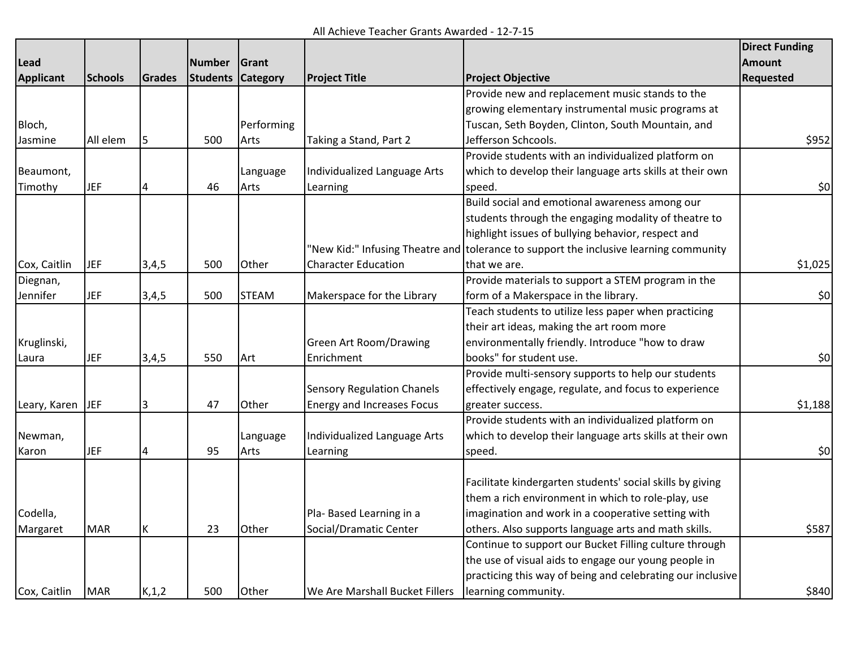All Achieve Teacher Grants Awarded - 12-7-15

|                  |                |               |                 |                 |                                   |                                                                                       | <b>Direct Funding</b> |
|------------------|----------------|---------------|-----------------|-----------------|-----------------------------------|---------------------------------------------------------------------------------------|-----------------------|
| Lead             |                |               | <b>Number</b>   | Grant           |                                   |                                                                                       | <b>Amount</b>         |
| <b>Applicant</b> | <b>Schools</b> | <b>Grades</b> | <b>Students</b> | <b>Category</b> | <b>Project Title</b>              | <b>Project Objective</b>                                                              | <b>Requested</b>      |
|                  |                |               |                 |                 |                                   | Provide new and replacement music stands to the                                       |                       |
|                  |                |               |                 |                 |                                   | growing elementary instrumental music programs at                                     |                       |
| Bloch,           |                |               |                 | Performing      |                                   | Tuscan, Seth Boyden, Clinton, South Mountain, and                                     |                       |
| Jasmine          | All elem       | 5             | 500             | Arts            | Taking a Stand, Part 2            | Jefferson Schcools.                                                                   | \$952                 |
|                  |                |               |                 |                 |                                   | Provide students with an individualized platform on                                   |                       |
| Beaumont,        |                |               |                 | Language        | Individualized Language Arts      | which to develop their language arts skills at their own                              |                       |
| Timothy          | <b>JEF</b>     |               | 46              | Arts            | Learning                          | speed.                                                                                | 50                    |
|                  |                |               |                 |                 |                                   | Build social and emotional awareness among our                                        |                       |
|                  |                |               |                 |                 |                                   | students through the engaging modality of theatre to                                  |                       |
|                  |                |               |                 |                 |                                   | highlight issues of bullying behavior, respect and                                    |                       |
|                  |                |               |                 |                 |                                   | 'New Kid:" Infusing Theatre and tolerance to support the inclusive learning community |                       |
| Cox, Caitlin     | <b>JEF</b>     | 3,4,5         | 500             | Other           | <b>Character Education</b>        | that we are.                                                                          | \$1,025               |
| Diegnan,         |                |               |                 |                 |                                   | Provide materials to support a STEM program in the                                    |                       |
| Jennifer         | <b>JEF</b>     | 3,4,5         | 500             | <b>STEAM</b>    | Makerspace for the Library        | form of a Makerspace in the library.                                                  | 50                    |
|                  |                |               |                 |                 |                                   | Teach students to utilize less paper when practicing                                  |                       |
|                  |                |               |                 |                 |                                   | their art ideas, making the art room more                                             |                       |
| Kruglinski,      |                |               |                 |                 | <b>Green Art Room/Drawing</b>     | environmentally friendly. Introduce "how to draw                                      |                       |
| Laura            | <b>JEF</b>     | 3,4,5         | 550             | Art             | Enrichment                        | books" for student use.                                                               | 50                    |
|                  |                |               |                 |                 |                                   | Provide multi-sensory supports to help our students                                   |                       |
|                  |                |               |                 |                 | <b>Sensory Regulation Chanels</b> | effectively engage, regulate, and focus to experience                                 |                       |
| Leary, Karen JEF |                | 3             | 47              | Other           | <b>Energy and Increases Focus</b> | greater success.                                                                      | \$1,188               |
|                  |                |               |                 |                 |                                   | Provide students with an individualized platform on                                   |                       |
| Newman,          |                |               |                 | Language        | Individualized Language Arts      | which to develop their language arts skills at their own                              |                       |
| Karon            | <b>JEF</b>     |               | 95              | Arts            | Learning                          | speed.                                                                                | 50                    |
|                  |                |               |                 |                 |                                   |                                                                                       |                       |
|                  |                |               |                 |                 |                                   | Facilitate kindergarten students' social skills by giving                             |                       |
|                  |                |               |                 |                 |                                   | them a rich environment in which to role-play, use                                    |                       |
| Codella,         |                |               |                 |                 | Pla- Based Learning in a          | imagination and work in a cooperative setting with                                    |                       |
| Margaret         | <b>MAR</b>     | к             | 23              | Other           | Social/Dramatic Center            | others. Also supports language arts and math skills.                                  | \$587                 |
|                  |                |               |                 |                 |                                   | Continue to support our Bucket Filling culture through                                |                       |
|                  |                |               |                 |                 |                                   | the use of visual aids to engage our young people in                                  |                       |
|                  |                |               |                 |                 |                                   | practicing this way of being and celebrating our inclusive                            |                       |
| Cox, Caitlin     | <b>MAR</b>     | K, 1, 2       | 500             | Other           | We Are Marshall Bucket Fillers    | learning community.                                                                   | \$840                 |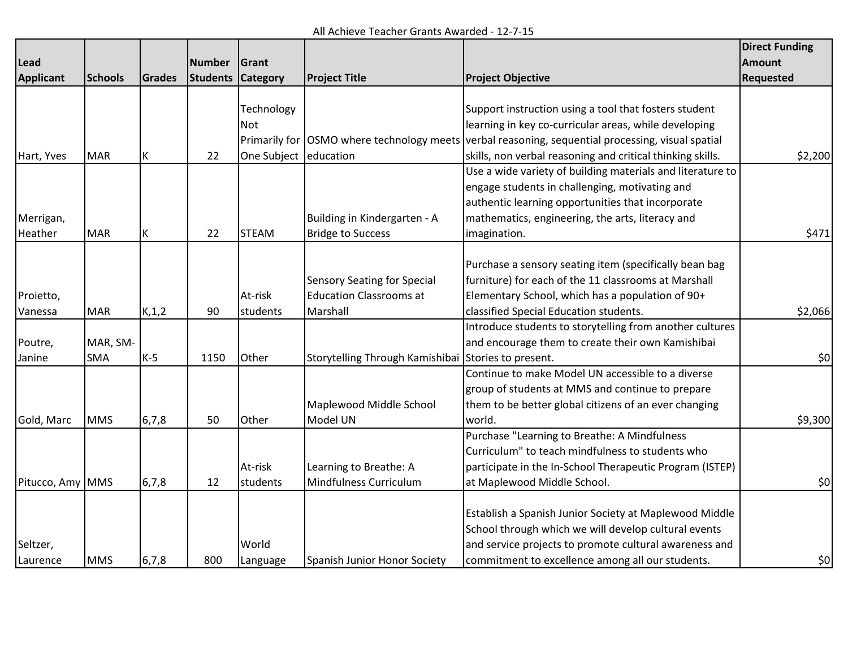All Achieve Teacher Grants Awarded - 12-7-15

|                  |                |         |                 |                 |                                    |                                                                                                   | <b>Direct Funding</b> |
|------------------|----------------|---------|-----------------|-----------------|------------------------------------|---------------------------------------------------------------------------------------------------|-----------------------|
| Lead             |                |         | <b>Number</b>   | Grant           |                                    |                                                                                                   | <b>Amount</b>         |
| <b>Applicant</b> | <b>Schools</b> | Grades  | <b>Students</b> | <b>Category</b> | <b>Project Title</b>               | <b>Project Objective</b>                                                                          | <b>Requested</b>      |
|                  |                |         |                 |                 |                                    |                                                                                                   |                       |
|                  |                |         |                 | Technology      |                                    | Support instruction using a tool that fosters student                                             |                       |
|                  |                |         |                 | Not             |                                    | learning in key co-curricular areas, while developing                                             |                       |
|                  |                |         |                 |                 |                                    | Primarily for OSMO where technology meets verbal reasoning, sequential processing, visual spatial |                       |
| Hart, Yves       | <b>MAR</b>     | К       | 22              | One Subject     | education                          | skills, non verbal reasoning and critical thinking skills.                                        | \$2,200               |
|                  |                |         |                 |                 |                                    | Use a wide variety of building materials and literature to                                        |                       |
|                  |                |         |                 |                 |                                    | engage students in challenging, motivating and                                                    |                       |
|                  |                |         |                 |                 |                                    | authentic learning opportunities that incorporate                                                 |                       |
| Merrigan,        |                |         |                 |                 | Building in Kindergarten - A       | mathematics, engineering, the arts, literacy and                                                  |                       |
| Heather          | <b>MAR</b>     | К       | 22              | <b>STEAM</b>    | <b>Bridge to Success</b>           | imagination.                                                                                      | \$471                 |
|                  |                |         |                 |                 |                                    |                                                                                                   |                       |
|                  |                |         |                 |                 |                                    | Purchase a sensory seating item (specifically bean bag                                            |                       |
|                  |                |         |                 |                 | <b>Sensory Seating for Special</b> | furniture) for each of the 11 classrooms at Marshall                                              |                       |
| Proietto,        |                |         |                 | At-risk         | <b>Education Classrooms at</b>     | Elementary School, which has a population of 90+                                                  |                       |
| Vanessa          | <b>MAR</b>     | K, 1, 2 | 90              | students        | Marshall                           | classified Special Education students.                                                            | \$2,066               |
|                  |                |         |                 |                 |                                    | Introduce students to storytelling from another cultures                                          |                       |
| Poutre,          | MAR, SM-       |         |                 |                 |                                    | and encourage them to create their own Kamishibai                                                 |                       |
| Janine           | <b>SMA</b>     | $K-5$   | 1150            | Other           | Storytelling Through Kamishibai    | Stories to present.                                                                               | 50                    |
|                  |                |         |                 |                 |                                    | Continue to make Model UN accessible to a diverse                                                 |                       |
|                  |                |         |                 |                 |                                    | group of students at MMS and continue to prepare                                                  |                       |
|                  |                |         |                 |                 | Maplewood Middle School            | them to be better global citizens of an ever changing                                             |                       |
| Gold, Marc       | <b>MMS</b>     | 6,7,8   | 50              | Other           | Model UN                           | world.                                                                                            | \$9,300               |
|                  |                |         |                 |                 |                                    | Purchase "Learning to Breathe: A Mindfulness                                                      |                       |
|                  |                |         |                 |                 |                                    | Curriculum" to teach mindfulness to students who                                                  |                       |
|                  |                |         |                 | At-risk         | Learning to Breathe: A             | participate in the In-School Therapeutic Program (ISTEP)                                          |                       |
| Pitucco, Amy MMS |                | 6,7,8   | 12              | students        | Mindfulness Curriculum             | at Maplewood Middle School.                                                                       | \$0                   |
|                  |                |         |                 |                 |                                    |                                                                                                   |                       |
|                  |                |         |                 |                 |                                    | Establish a Spanish Junior Society at Maplewood Middle                                            |                       |
|                  |                |         |                 |                 |                                    | School through which we will develop cultural events                                              |                       |
| Seltzer,         |                |         |                 | World           |                                    | and service projects to promote cultural awareness and                                            |                       |
| Laurence         | <b>MMS</b>     | 6,7,8   | 800             | Language        | Spanish Junior Honor Society       | commitment to excellence among all our students.                                                  | \$0                   |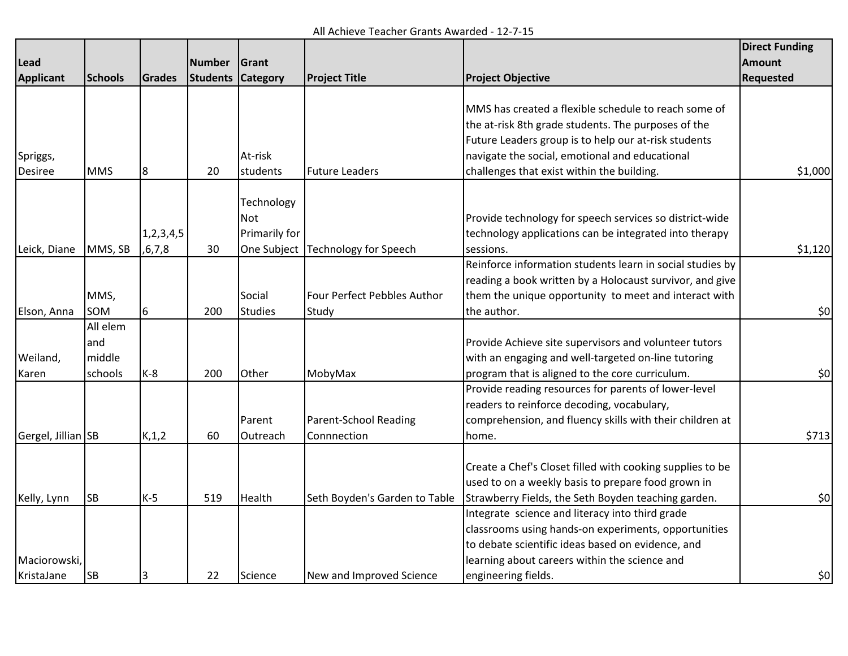All Achieve Teacher Grants Awarded - 12-7-15

|                    |                |           |               |                 |                                     |                                                           | <b>Direct Funding</b> |
|--------------------|----------------|-----------|---------------|-----------------|-------------------------------------|-----------------------------------------------------------|-----------------------|
| Lead               |                |           | <b>Number</b> | Grant           |                                     |                                                           | <b>Amount</b>         |
| <b>Applicant</b>   | <b>Schools</b> | Grades    | Students      | <b>Category</b> | <b>Project Title</b>                | <b>Project Objective</b>                                  | Requested             |
|                    |                |           |               |                 |                                     |                                                           |                       |
|                    |                |           |               |                 |                                     | MMS has created a flexible schedule to reach some of      |                       |
|                    |                |           |               |                 |                                     | the at-risk 8th grade students. The purposes of the       |                       |
|                    |                |           |               |                 |                                     | Future Leaders group is to help our at-risk students      |                       |
| Spriggs,           |                |           |               | At-risk         |                                     | navigate the social, emotional and educational            |                       |
| <b>Desiree</b>     | <b>MMS</b>     | 8         | 20            | students        | <b>Future Leaders</b>               | challenges that exist within the building.                | \$1,000               |
|                    |                |           |               |                 |                                     |                                                           |                       |
|                    |                |           |               | Technology      |                                     |                                                           |                       |
|                    |                |           |               | Not             |                                     | Provide technology for speech services so district-wide   |                       |
|                    |                | 1,2,3,4,5 |               | Primarily for   |                                     | technology applications can be integrated into therapy    |                       |
| Leick, Diane       | MMS, SB        | ,6,7,8    | 30            |                 | One Subject   Technology for Speech | sessions.                                                 | \$1,120               |
|                    |                |           |               |                 |                                     | Reinforce information students learn in social studies by |                       |
|                    |                |           |               |                 |                                     | reading a book written by a Holocaust survivor, and give  |                       |
|                    | MMS,           |           |               | Social          | Four Perfect Pebbles Author         | them the unique opportunity to meet and interact with     |                       |
| Elson, Anna        | SOM            | 6         | 200           | <b>Studies</b>  | Study                               | the author.                                               | \$0                   |
|                    | All elem       |           |               |                 |                                     |                                                           |                       |
|                    | and            |           |               |                 |                                     | Provide Achieve site supervisors and volunteer tutors     |                       |
| Weiland,           | middle         |           |               |                 |                                     | with an engaging and well-targeted on-line tutoring       |                       |
| Karen              | schools        | $K-8$     | 200           | Other           | MobyMax                             | program that is aligned to the core curriculum.           | \$0]                  |
|                    |                |           |               |                 |                                     | Provide reading resources for parents of lower-level      |                       |
|                    |                |           |               |                 |                                     | readers to reinforce decoding, vocabulary,                |                       |
|                    |                |           |               | Parent          | <b>Parent-School Reading</b>        | comprehension, and fluency skills with their children at  |                       |
| Gergel, Jillian SB |                | K, 1, 2   | 60            | Outreach        | Connnection                         | home.                                                     | \$713                 |
|                    |                |           |               |                 |                                     |                                                           |                       |
|                    |                |           |               |                 |                                     | Create a Chef's Closet filled with cooking supplies to be |                       |
|                    |                |           |               |                 |                                     | used to on a weekly basis to prepare food grown in        |                       |
| Kelly, Lynn        | <b>SB</b>      | $K-5$     | 519           | Health          | Seth Boyden's Garden to Table       | Strawberry Fields, the Seth Boyden teaching garden.       | \$0]                  |
|                    |                |           |               |                 |                                     | Integrate science and literacy into third grade           |                       |
|                    |                |           |               |                 |                                     | classrooms using hands-on experiments, opportunities      |                       |
|                    |                |           |               |                 |                                     | to debate scientific ideas based on evidence, and         |                       |
| Maciorowski,       |                |           |               |                 |                                     | learning about careers within the science and             |                       |
| KristaJane         | <b>SB</b>      |           | 22            | Science         | New and Improved Science            | engineering fields.                                       | \$0]                  |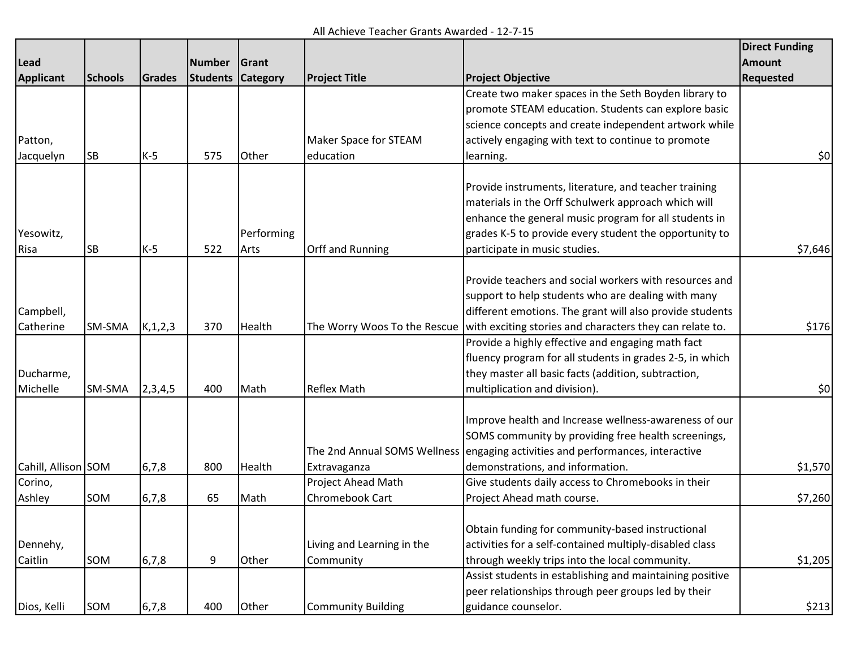All Achieve Teacher Grants Awarded - 12-7-15

|                     |                |            |                 |                 |                              |                                                                                | <b>Direct Funding</b> |
|---------------------|----------------|------------|-----------------|-----------------|------------------------------|--------------------------------------------------------------------------------|-----------------------|
| <b>Lead</b>         |                |            | <b>Number</b>   | Grant           |                              |                                                                                | <b>Amount</b>         |
| <b>Applicant</b>    | <b>Schools</b> | Grades     | <b>Students</b> | <b>Category</b> | <b>Project Title</b>         | <b>Project Objective</b>                                                       | Requested             |
|                     |                |            |                 |                 |                              | Create two maker spaces in the Seth Boyden library to                          |                       |
|                     |                |            |                 |                 |                              | promote STEAM education. Students can explore basic                            |                       |
|                     |                |            |                 |                 |                              | science concepts and create independent artwork while                          |                       |
| Patton,             |                |            |                 |                 | Maker Space for STEAM        | actively engaging with text to continue to promote                             |                       |
| Jacquelyn           | <b>SB</b>      | $K-5$      | 575             | Other           | education                    | learning.                                                                      | \$0                   |
|                     |                |            |                 |                 |                              |                                                                                |                       |
|                     |                |            |                 |                 |                              | Provide instruments, literature, and teacher training                          |                       |
|                     |                |            |                 |                 |                              | materials in the Orff Schulwerk approach which will                            |                       |
|                     |                |            |                 |                 |                              | enhance the general music program for all students in                          |                       |
| Yesowitz,           |                |            |                 | Performing      |                              | grades K-5 to provide every student the opportunity to                         |                       |
| Risa                | SB             | $K-5$      | 522             | Arts            | <b>Orff and Running</b>      | participate in music studies.                                                  | \$7,646               |
|                     |                |            |                 |                 |                              |                                                                                |                       |
|                     |                |            |                 |                 |                              | Provide teachers and social workers with resources and                         |                       |
|                     |                |            |                 |                 |                              | support to help students who are dealing with many                             |                       |
| Campbell,           |                |            |                 |                 |                              | different emotions. The grant will also provide students                       |                       |
| Catherine           | SM-SMA         | K, 1, 2, 3 | 370             | Health          | The Worry Woos To the Rescue | with exciting stories and characters they can relate to.                       | \$176                 |
|                     |                |            |                 |                 |                              | Provide a highly effective and engaging math fact                              |                       |
|                     |                |            |                 |                 |                              | fluency program for all students in grades 2-5, in which                       |                       |
| Ducharme,           |                |            |                 |                 |                              | they master all basic facts (addition, subtraction,                            |                       |
| Michelle            | SM-SMA         | 2,3,4,5    | 400             | Math            | <b>Reflex Math</b>           | multiplication and division).                                                  | 50                    |
|                     |                |            |                 |                 |                              |                                                                                |                       |
|                     |                |            |                 |                 |                              | Improve health and Increase wellness-awareness of our                          |                       |
|                     |                |            |                 |                 |                              | SOMS community by providing free health screenings,                            |                       |
|                     |                |            |                 |                 |                              | The 2nd Annual SOMS Wellness engaging activities and performances, interactive |                       |
| Cahill, Allison SOM |                | 6,7,8      | 800             | Health          | Extravaganza                 | demonstrations, and information.                                               | \$1,570               |
| Corino,             |                |            |                 |                 | Project Ahead Math           | Give students daily access to Chromebooks in their                             |                       |
| Ashley              | SOM            | 6,7,8      | 65              | Math            | <b>Chromebook Cart</b>       | Project Ahead math course.                                                     | \$7,260               |
|                     |                |            |                 |                 |                              |                                                                                |                       |
|                     |                |            |                 |                 |                              | Obtain funding for community-based instructional                               |                       |
| Dennehy,            |                |            |                 |                 | Living and Learning in the   | activities for a self-contained multiply-disabled class                        |                       |
| Caitlin             | SOM            | 6,7,8      | 9               | Other           | Community                    | through weekly trips into the local community.                                 | \$1,205               |
|                     |                |            |                 |                 |                              | Assist students in establishing and maintaining positive                       |                       |
|                     |                |            |                 |                 |                              | peer relationships through peer groups led by their                            |                       |
| Dios, Kelli         | SOM            | 6,7,8      | 400             | Other           | <b>Community Building</b>    | guidance counselor.                                                            | \$213                 |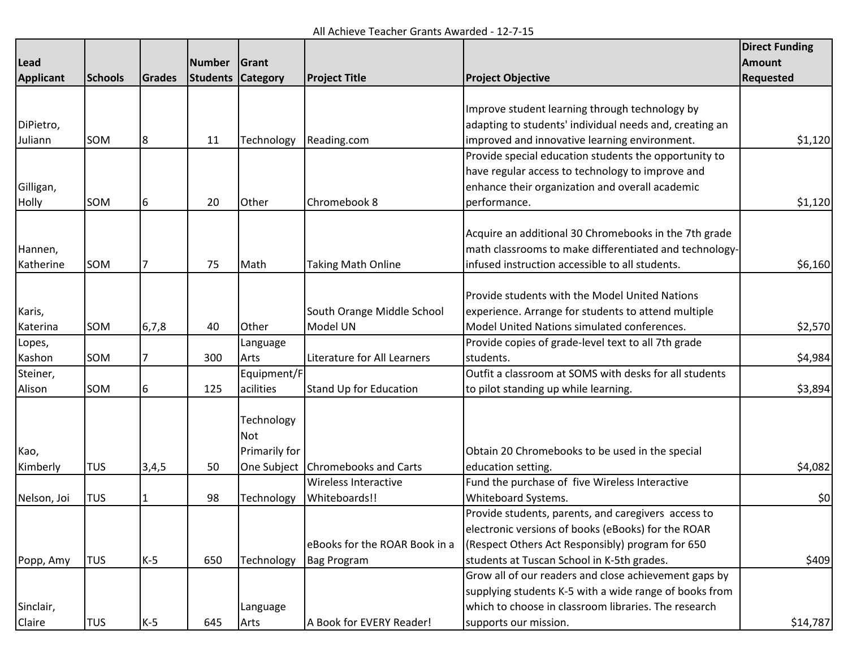All Achieve Teacher Grants Awarded - 12-7-15

|                  |                |         |          |                 |                               |                                                         | <b>Direct Funding</b> |
|------------------|----------------|---------|----------|-----------------|-------------------------------|---------------------------------------------------------|-----------------------|
| <b>Lead</b>      |                |         | Number   | Grant           |                               |                                                         | <b>Amount</b>         |
| <b>Applicant</b> | <b>Schools</b> | Grades  | Students | <b>Category</b> | <b>Project Title</b>          | <b>Project Objective</b>                                | <b>Requested</b>      |
|                  |                |         |          |                 |                               |                                                         |                       |
|                  |                |         |          |                 |                               | Improve student learning through technology by          |                       |
| DiPietro,        |                |         |          |                 |                               | adapting to students' individual needs and, creating an |                       |
| Juliann          | SOM            | 8       | 11       | Technology      | Reading.com                   | improved and innovative learning environment.           | \$1,120               |
|                  |                |         |          |                 |                               | Provide special education students the opportunity to   |                       |
|                  |                |         |          |                 |                               | have regular access to technology to improve and        |                       |
| Gilligan,        |                |         |          |                 |                               | enhance their organization and overall academic         |                       |
| Holly            | SOM            | 6       | 20       | Other           | Chromebook 8                  | performance.                                            | \$1,120               |
|                  |                |         |          |                 |                               |                                                         |                       |
|                  |                |         |          |                 |                               | Acquire an additional 30 Chromebooks in the 7th grade   |                       |
| Hannen,          |                |         |          |                 |                               | math classrooms to make differentiated and technology-  |                       |
| Katherine        | SOM            |         | 75       | Math            | <b>Taking Math Online</b>     | infused instruction accessible to all students.         | \$6,160               |
|                  |                |         |          |                 |                               |                                                         |                       |
|                  |                |         |          |                 |                               | Provide students with the Model United Nations          |                       |
| Karis,           |                |         |          |                 | South Orange Middle School    | experience. Arrange for students to attend multiple     |                       |
| Katerina         | SOM            | 6, 7, 8 | 40       | Other           | Model UN                      | Model United Nations simulated conferences.             | \$2,570               |
| Lopes,           |                |         |          | Language        |                               | Provide copies of grade-level text to all 7th grade     |                       |
| Kashon           | SOM            |         | 300      | Arts            | Literature for All Learners   | students.                                               | \$4,984               |
| Steiner,         |                |         |          | Equipment/F     |                               | Outfit a classroom at SOMS with desks for all students  |                       |
| Alison           | SOM            | 6       | 125      | acilities       | Stand Up for Education        | to pilot standing up while learning.                    | \$3,894               |
|                  |                |         |          |                 |                               |                                                         |                       |
|                  |                |         |          | Technology      |                               |                                                         |                       |
|                  |                |         |          | Not             |                               |                                                         |                       |
| Kao,             |                |         |          | Primarily for   |                               | Obtain 20 Chromebooks to be used in the special         |                       |
| Kimberly         | <b>TUS</b>     | 3,4,5   | 50       | One Subject     | Chromebooks and Carts         | education setting.                                      | \$4,082               |
|                  |                |         |          |                 | <b>Wireless Interactive</b>   | Fund the purchase of five Wireless Interactive          |                       |
| Nelson, Joi      | TUS            |         | 98       | Technology      | Whiteboards!!                 | Whiteboard Systems.                                     | 50                    |
|                  |                |         |          |                 |                               | Provide students, parents, and caregivers access to     |                       |
|                  |                |         |          |                 |                               | electronic versions of books (eBooks) for the ROAR      |                       |
|                  |                |         |          |                 | eBooks for the ROAR Book in a | (Respect Others Act Responsibly) program for 650        |                       |
| Popp, Amy        | <b>TUS</b>     | $K-5$   | 650      | Technology      | Bag Program                   | students at Tuscan School in K-5th grades.              | \$409                 |
|                  |                |         |          |                 |                               | Grow all of our readers and close achievement gaps by   |                       |
|                  |                |         |          |                 |                               | supplying students K-5 with a wide range of books from  |                       |
| Sinclair,        |                |         |          | Language        |                               | which to choose in classroom libraries. The research    |                       |
| Claire           | <b>TUS</b>     | $K-5$   | 645      | Arts            | A Book for EVERY Reader!      | supports our mission.                                   | \$14,787              |